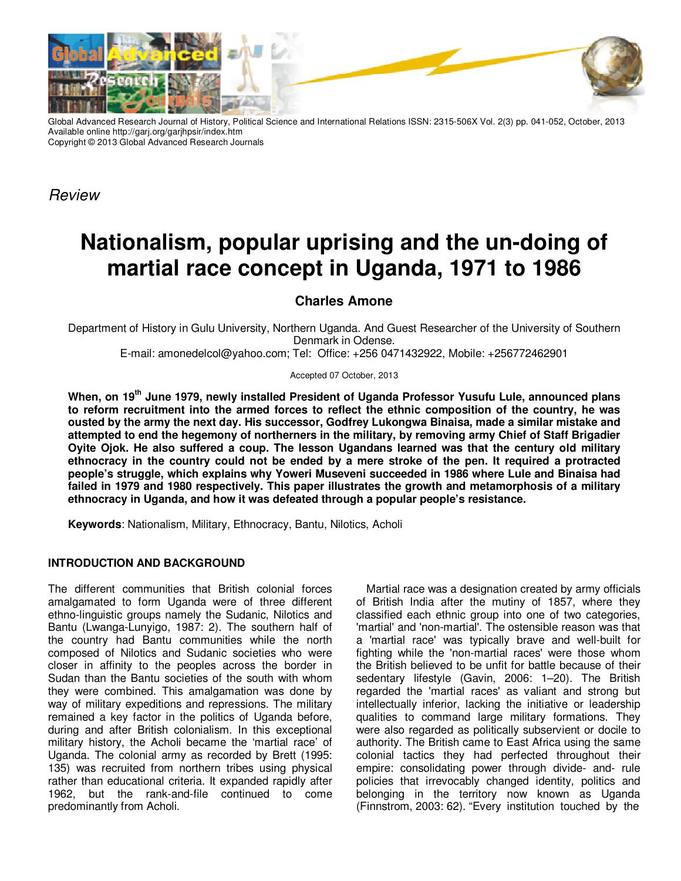

Global Advanced Research Journal of History, Political Science and International Relations ISSN: 2315-506X Vol. 2(3) pp. 041-052, October, 2013 Available online http://garj.org/garjhpsir/index.htm Copyright © 2013 Global Advanced Research Journals

*Review* 

# **Nationalism, popular uprising and the un-doing of martial race concept in Uganda, 1971 to 1986**

# **Charles Amone**

Department of History in Gulu University, Northern Uganda. And Guest Researcher of the University of Southern Denmark in Odense. E-mail: amonedelcol@yahoo.com; Tel: Office: +256 0471432922, Mobile: +256772462901

Accepted 07 October, 2013

**When, on 19th June 1979, newly installed President of Uganda Professor Yusufu Lule, announced plans to reform recruitment into the armed forces to reflect the ethnic composition of the country, he was ousted by the army the next day. His successor, Godfrey Lukongwa Binaisa, made a similar mistake and attempted to end the hegemony of northerners in the military, by removing army Chief of Staff Brigadier Oyite Ojok. He also suffered a coup. The lesson Ugandans learned was that the century old military ethnocracy in the country could not be ended by a mere stroke of the pen. It required a protracted people's struggle, which explains why Yoweri Museveni succeeded in 1986 where Lule and Binaisa had failed in 1979 and 1980 respectively. This paper illustrates the growth and metamorphosis of a military ethnocracy in Uganda, and how it was defeated through a popular people's resistance.** 

**Keywords**: Nationalism, Military, Ethnocracy, Bantu, Nilotics, Acholi

## **INTRODUCTION AND BACKGROUND**

The different communities that British colonial forces amalgamated to form Uganda were of three different ethno-linguistic groups namely the Sudanic, Nilotics and Bantu (Lwanga-Lunyigo, 1987: 2). The southern half of the country had Bantu communities while the north composed of Nilotics and Sudanic societies who were closer in affinity to the peoples across the border in Sudan than the Bantu societies of the south with whom they were combined. This amalgamation was done by way of military expeditions and repressions. The military remained a key factor in the politics of Uganda before, during and after British colonialism. In this exceptional military history, the Acholi became the 'martial race' of Uganda. The colonial army as recorded by Brett (1995: 135) was recruited from northern tribes using physical rather than educational criteria. It expanded rapidly after 1962, but the rank-and-file continued to come predominantly from Acholi.

Martial race was a designation created by army officials of British India after the mutiny of 1857, where they classified each ethnic group into one of two categories, 'martial' and 'non-martial'. The ostensible reason was that a 'martial race' was typically brave and well-built for fighting while the 'non-martial races' were those whom the British believed to be unfit for battle because of their sedentary lifestyle (Gavin, 2006: 1–20). The British regarded the 'martial races' as valiant and strong but intellectually inferior, lacking the initiative or leadership qualities to command large military formations. They were also regarded as politically subservient or docile to authority. The British came to East Africa using the same colonial tactics they had perfected throughout their empire: consolidating power through divide- and- rule policies that irrevocably changed identity, politics and belonging in the territory now known as Uganda (Finnstrom, 2003: 62). "Every institution touched by the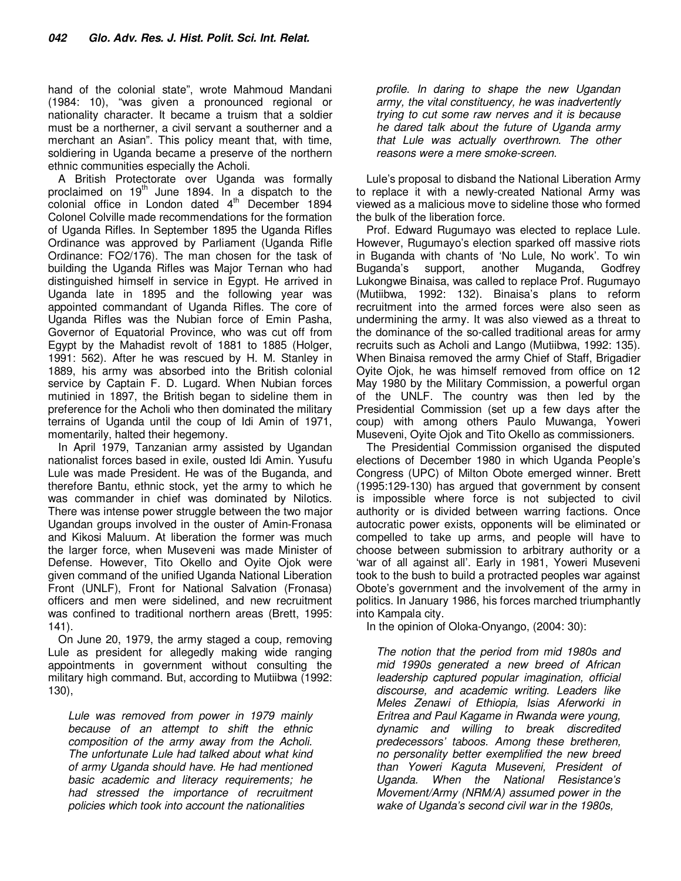hand of the colonial state", wrote Mahmoud Mandani (1984: 10), "was given a pronounced regional or nationality character. It became a truism that a soldier must be a northerner, a civil servant a southerner and a merchant an Asian". This policy meant that, with time, soldiering in Uganda became a preserve of the northern ethnic communities especially the Acholi.

A British Protectorate over Uganda was formally proclaimed on  $19<sup>th</sup>$  June 1894. In a dispatch to the colonial office in London dated  $4<sup>th</sup>$  December 1894 Colonel Colville made recommendations for the formation of Uganda Rifles. In September 1895 the Uganda Rifles Ordinance was approved by Parliament (Uganda Rifle Ordinance: FO2/176). The man chosen for the task of building the Uganda Rifles was Major Ternan who had distinguished himself in service in Egypt. He arrived in Uganda late in 1895 and the following year was appointed commandant of Uganda Rifles. The core of Uganda Rifles was the Nubian force of Emin Pasha, Governor of Equatorial Province, who was cut off from Egypt by the Mahadist revolt of 1881 to 1885 (Holger, 1991: 562). After he was rescued by H. M. Stanley in 1889, his army was absorbed into the British colonial service by Captain F. D. Lugard. When Nubian forces mutinied in 1897, the British began to sideline them in preference for the Acholi who then dominated the military terrains of Uganda until the coup of Idi Amin of 1971, momentarily, halted their hegemony.

In April 1979, Tanzanian army assisted by Ugandan nationalist forces based in exile, ousted Idi Amin. Yusufu Lule was made President. He was of the Buganda, and therefore Bantu, ethnic stock, yet the army to which he was commander in chief was dominated by Nilotics. There was intense power struggle between the two major Ugandan groups involved in the ouster of Amin-Fronasa and Kikosi Maluum. At liberation the former was much the larger force, when Museveni was made Minister of Defense. However, Tito Okello and Oyite Ojok were given command of the unified Uganda National Liberation Front (UNLF), Front for National Salvation (Fronasa) officers and men were sidelined, and new recruitment was confined to traditional northern areas (Brett, 1995: 141).

On June 20, 1979, the army staged a coup, removing Lule as president for allegedly making wide ranging appointments in government without consulting the military high command. But, according to Mutiibwa (1992: 130),

*Lule was removed from power in 1979 mainly because of an attempt to shift the ethnic composition of the army away from the Acholi. The unfortunate Lule had talked about what kind of army Uganda should have. He had mentioned basic academic and literacy requirements; he had stressed the importance of recruitment policies which took into account the nationalities* 

*profile. In daring to shape the new Ugandan army, the vital constituency, he was inadvertently trying to cut some raw nerves and it is because he dared talk about the future of Uganda army that Lule was actually overthrown. The other reasons were a mere smoke-screen.* 

Lule's proposal to disband the National Liberation Army to replace it with a newly-created National Army was viewed as a malicious move to sideline those who formed the bulk of the liberation force.

Prof. Edward Rugumayo was elected to replace Lule. However, Rugumayo's election sparked off massive riots in Buganda with chants of 'No Lule, No work'. To win Buganda's support, another Muganda, Godfrey Lukongwe Binaisa, was called to replace Prof. Rugumayo (Mutiibwa, 1992: 132). Binaisa's plans to reform recruitment into the armed forces were also seen as undermining the army. It was also viewed as a threat to the dominance of the so-called traditional areas for army recruits such as Acholi and Lango (Mutiibwa, 1992: 135). When Binaisa removed the army Chief of Staff, Brigadier Oyite Ojok, he was himself removed from office on 12 May 1980 by the Military Commission, a powerful organ of the UNLF. The country was then led by the Presidential Commission (set up a few days after the coup) with among others Paulo Muwanga, Yoweri Museveni, Oyite Ojok and Tito Okello as commissioners.

The Presidential Commission organised the disputed elections of December 1980 in which Uganda People's Congress (UPC) of Milton Obote emerged winner. Brett (1995:129-130) has argued that government by consent is impossible where force is not subjected to civil authority or is divided between warring factions. Once autocratic power exists, opponents will be eliminated or compelled to take up arms, and people will have to choose between submission to arbitrary authority or a 'war of all against all'. Early in 1981, Yoweri Museveni took to the bush to build a protracted peoples war against Obote's government and the involvement of the army in politics. In January 1986, his forces marched triumphantly into Kampala city.

In the opinion of Oloka-Onyango, (2004: 30):

*The notion that the period from mid 1980s and mid 1990s generated a new breed of African leadership captured popular imagination, official discourse, and academic writing. Leaders like Meles Zenawi of Ethiopia, Isias Aferworki in Eritrea and Paul Kagame in Rwanda were young, dynamic and willing to break discredited predecessors' taboos. Among these bretheren, no personality better exemplified the new breed than Yoweri Kaguta Museveni, President of Uganda. When the National Resistance's Movement/Army (NRM/A) assumed power in the wake of Uganda's second civil war in the 1980s,*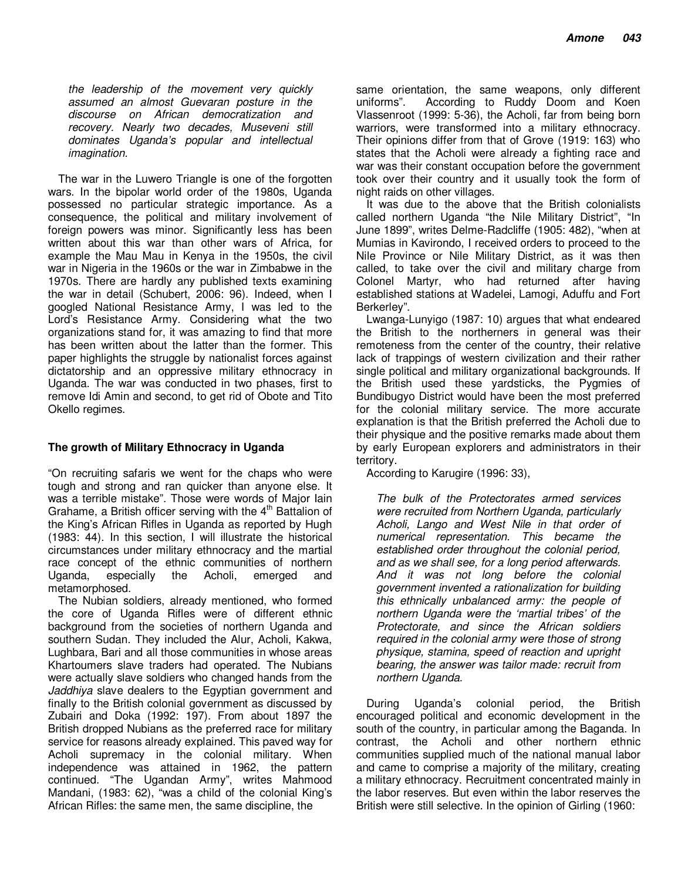*the leadership of the movement very quickly assumed an almost Guevaran posture in the discourse on African democratization and recovery. Nearly two decades, Museveni still dominates Uganda's popular and intellectual imagination.* 

The war in the Luwero Triangle is one of the forgotten wars. In the bipolar world order of the 1980s, Uganda possessed no particular strategic importance. As a consequence, the political and military involvement of foreign powers was minor. Significantly less has been written about this war than other wars of Africa, for example the Mau Mau in Kenya in the 1950s, the civil war in Nigeria in the 1960s or the war in Zimbabwe in the 1970s. There are hardly any published texts examining the war in detail (Schubert, 2006: 96). Indeed, when I googled National Resistance Army, I was led to the Lord's Resistance Army. Considering what the two organizations stand for, it was amazing to find that more has been written about the latter than the former. This paper highlights the struggle by nationalist forces against dictatorship and an oppressive military ethnocracy in Uganda. The war was conducted in two phases, first to remove Idi Amin and second, to get rid of Obote and Tito Okello regimes.

## **The growth of Military Ethnocracy in Uganda**

"On recruiting safaris we went for the chaps who were tough and strong and ran quicker than anyone else. It was a terrible mistake". Those were words of Major Iain Grahame, a British officer serving with the  $4<sup>th</sup>$  Battalion of the King's African Rifles in Uganda as reported by Hugh (1983: 44). In this section, I will illustrate the historical circumstances under military ethnocracy and the martial race concept of the ethnic communities of northern<br>Uganda, especially the Acholi, emerged and Uganda, especially the Acholi, emerged and metamorphosed.

The Nubian soldiers, already mentioned, who formed the core of Uganda Rifles were of different ethnic background from the societies of northern Uganda and southern Sudan. They included the Alur, Acholi, Kakwa, Lughbara, Bari and all those communities in whose areas Khartoumers slave traders had operated. The Nubians were actually slave soldiers who changed hands from the *Jaddhiya* slave dealers to the Egyptian government and finally to the British colonial government as discussed by Zubairi and Doka (1992: 197). From about 1897 the British dropped Nubians as the preferred race for military service for reasons already explained. This paved way for Acholi supremacy in the colonial military. When independence was attained in 1962, the pattern continued. "The Ugandan Army", writes Mahmood Mandani, (1983: 62), "was a child of the colonial King's African Rifles: the same men, the same discipline, the

same orientation, the same weapons, only different uniforms". According to Ruddy Doom and Koen Vlassenroot (1999: 5-36), the Acholi, far from being born warriors, were transformed into a military ethnocracy. Their opinions differ from that of Grove (1919: 163) who states that the Acholi were already a fighting race and war was their constant occupation before the government took over their country and it usually took the form of night raids on other villages.

It was due to the above that the British colonialists called northern Uganda "the Nile Military District", "In June 1899", writes Delme-Radcliffe (1905: 482), "when at Mumias in Kavirondo, I received orders to proceed to the Nile Province or Nile Military District, as it was then called, to take over the civil and military charge from Colonel Martyr, who had returned after having established stations at Wadelei, Lamogi, Aduffu and Fort Berkerley".

Lwanga-Lunyigo (1987: 10) argues that what endeared the British to the northerners in general was their remoteness from the center of the country, their relative lack of trappings of western civilization and their rather single political and military organizational backgrounds. If the British used these yardsticks, the Pygmies of Bundibugyo District would have been the most preferred for the colonial military service. The more accurate explanation is that the British preferred the Acholi due to their physique and the positive remarks made about them by early European explorers and administrators in their territory.

According to Karugire (1996: 33),

*The bulk of the Protectorates armed services were recruited from Northern Uganda, particularly Acholi, Lango and West Nile in that order of numerical representation. This became the established order throughout the colonial period, and as we shall see, for a long period afterwards. And it was not long before the colonial government invented a rationalization for building this ethnically unbalanced army: the people of northern Uganda were the 'martial tribes' of the Protectorate, and since the African soldiers required in the colonial army were those of strong physique, stamina, speed of reaction and upright bearing, the answer was tailor made: recruit from northern Uganda.* 

During Uganda's colonial period, the British encouraged political and economic development in the south of the country, in particular among the Baganda. In contrast, the Acholi and other northern ethnic communities supplied much of the national manual labor and came to comprise a majority of the military, creating a military ethnocracy. Recruitment concentrated mainly in the labor reserves. But even within the labor reserves the British were still selective. In the opinion of Girling (1960: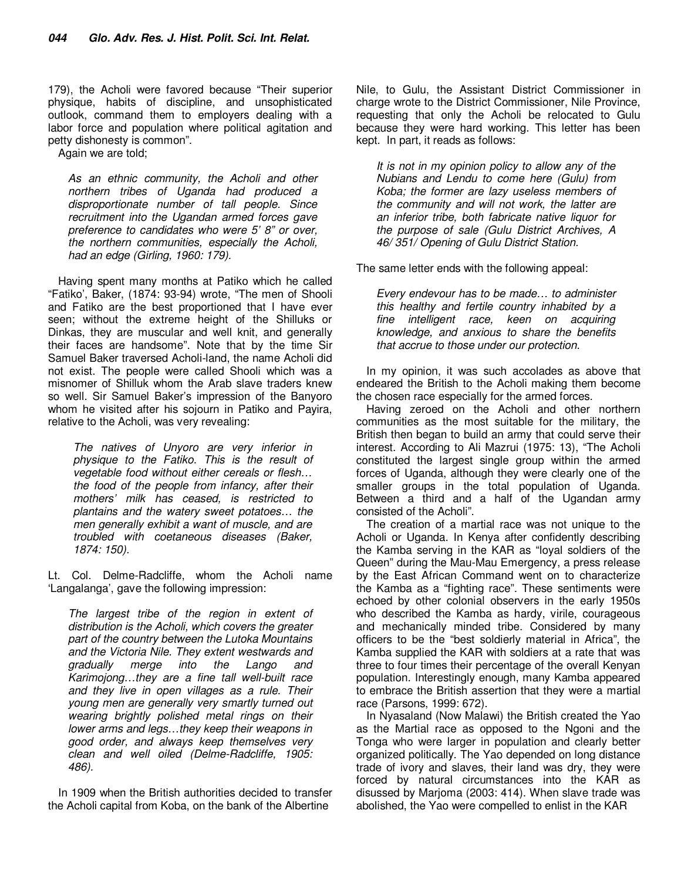179), the Acholi were favored because "Their superior physique, habits of discipline, and unsophisticated outlook, command them to employers dealing with a labor force and population where political agitation and petty dishonesty is common".

Again we are told;

*As an ethnic community, the Acholi and other northern tribes of Uganda had produced a disproportionate number of tall people. Since recruitment into the Ugandan armed forces gave preference to candidates who were 5' 8" or over, the northern communities, especially the Acholi, had an edge (Girling, 1960: 179).* 

Having spent many months at Patiko which he called "Fatiko', Baker, (1874: 93-94) wrote, "The men of Shooli and Fatiko are the best proportioned that I have ever seen; without the extreme height of the Shilluks or Dinkas, they are muscular and well knit, and generally their faces are handsome". Note that by the time Sir Samuel Baker traversed Acholi-land, the name Acholi did not exist. The people were called Shooli which was a misnomer of Shilluk whom the Arab slave traders knew so well. Sir Samuel Baker's impression of the Banyoro whom he visited after his sojourn in Patiko and Payira, relative to the Acholi, was very revealing:

*The natives of Unyoro are very inferior in physique to the Fatiko. This is the result of vegetable food without either cereals or flesh… the food of the people from infancy, after their mothers' milk has ceased, is restricted to plantains and the watery sweet potatoes… the men generally exhibit a want of muscle, and are troubled with coetaneous diseases (Baker, 1874: 150).* 

Lt. Col. Delme-Radcliffe, whom the Acholi name 'Langalanga', gave the following impression:

*The largest tribe of the region in extent of distribution is the Acholi, which covers the greater part of the country between the Lutoka Mountains and the Victoria Nile. They extent westwards and gradually merge into the Lango and Karimojong…they are a fine tall well-built race and they live in open villages as a rule. Their young men are generally very smartly turned out wearing brightly polished metal rings on their lower arms and legs…they keep their weapons in good order, and always keep themselves very clean and well oiled (Delme-Radcliffe, 1905: 486).* 

In 1909 when the British authorities decided to transfer the Acholi capital from Koba, on the bank of the Albertine

Nile, to Gulu, the Assistant District Commissioner in charge wrote to the District Commissioner, Nile Province, requesting that only the Acholi be relocated to Gulu because they were hard working. This letter has been kept. In part, it reads as follows:

*It is not in my opinion policy to allow any of the Nubians and Lendu to come here (Gulu) from Koba; the former are lazy useless members of the community and will not work, the latter are an inferior tribe, both fabricate native liquor for the purpose of sale (Gulu District Archives, A 46/ 351/ Opening of Gulu District Station.* 

The same letter ends with the following appeal:

*Every endevour has to be made… to administer this healthy and fertile country inhabited by a fine intelligent race, keen on acquiring knowledge, and anxious to share the benefits that accrue to those under our protection.* 

In my opinion, it was such accolades as above that endeared the British to the Acholi making them become the chosen race especially for the armed forces.

Having zeroed on the Acholi and other northern communities as the most suitable for the military, the British then began to build an army that could serve their interest. According to Ali Mazrui (1975: 13), "The Acholi constituted the largest single group within the armed forces of Uganda, although they were clearly one of the smaller groups in the total population of Uganda. Between a third and a half of the Ugandan army consisted of the Acholi".

The creation of a martial race was not unique to the Acholi or Uganda. In Kenya after confidently describing the Kamba serving in the KAR as "loyal soldiers of the Queen" during the Mau-Mau Emergency, a press release by the East African Command went on to characterize the Kamba as a "fighting race". These sentiments were echoed by other colonial observers in the early 1950s who described the Kamba as hardy, virile, courageous and mechanically minded tribe. Considered by many officers to be the "best soldierly material in Africa", the Kamba supplied the KAR with soldiers at a rate that was three to four times their percentage of the overall Kenyan population. Interestingly enough, many Kamba appeared to embrace the British assertion that they were a martial race (Parsons, 1999: 672).

In Nyasaland (Now Malawi) the British created the Yao as the Martial race as opposed to the Ngoni and the Tonga who were larger in population and clearly better organized politically. The Yao depended on long distance trade of ivory and slaves, their land was dry, they were forced by natural circumstances into the KAR as disussed by Marjoma (2003: 414). When slave trade was abolished, the Yao were compelled to enlist in the KAR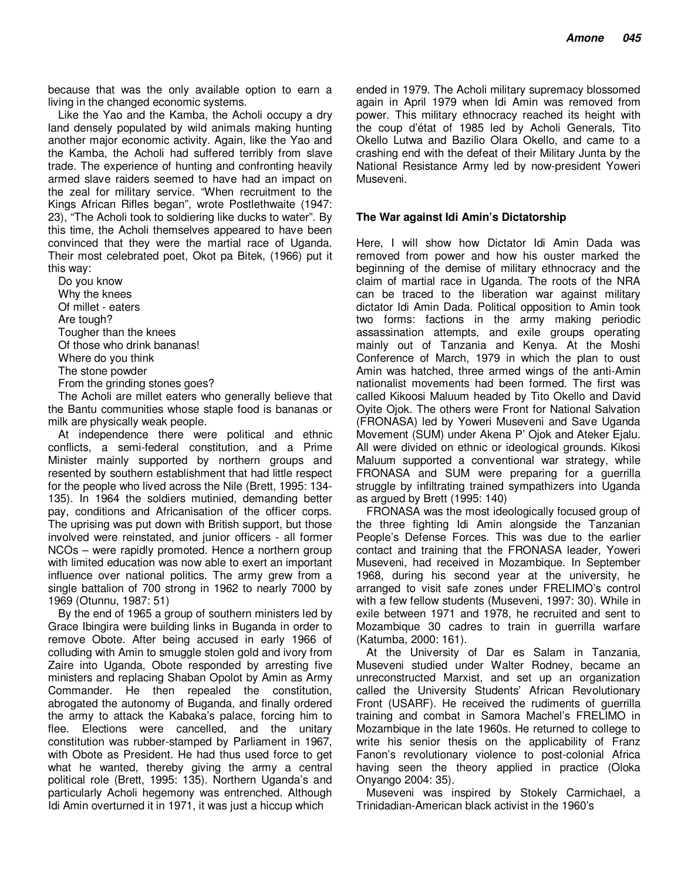because that was the only available option to earn a living in the changed economic systems.

Like the Yao and the Kamba, the Acholi occupy a dry land densely populated by wild animals making hunting another major economic activity. Again, like the Yao and the Kamba, the Acholi had suffered terribly from slave trade. The experience of hunting and confronting heavily armed slave raiders seemed to have had an impact on the zeal for military service. "When recruitment to the Kings African Rifles began", wrote Postlethwaite (1947: 23), "The Acholi took to soldiering like ducks to water". By this time, the Acholi themselves appeared to have been convinced that they were the martial race of Uganda. Their most celebrated poet, Okot pa Bitek, (1966) put it this way:

Do you know Why the knees Of millet - eaters Are tough? Tougher than the knees Of those who drink bananas! Where do you think The stone powder From the grinding stones goes?

The Acholi are millet eaters who generally believe that the Bantu communities whose staple food is bananas or milk are physically weak people.

At independence there were political and ethnic conflicts, a semi-federal constitution, and a Prime Minister mainly supported by northern groups and resented by southern establishment that had little respect for the people who lived across the Nile (Brett, 1995: 134- 135). In 1964 the soldiers mutinied, demanding better pay, conditions and Africanisation of the officer corps. The uprising was put down with British support, but those involved were reinstated, and junior officers - all former NCOs – were rapidly promoted. Hence a northern group with limited education was now able to exert an important influence over national politics. The army grew from a single battalion of 700 strong in 1962 to nearly 7000 by 1969 (Otunnu, 1987: 51)

By the end of 1965 a group of southern ministers led by Grace Ibingira were building links in Buganda in order to remove Obote. After being accused in early 1966 of colluding with Amin to smuggle stolen gold and ivory from Zaire into Uganda, Obote responded by arresting five ministers and replacing Shaban Opolot by Amin as Army Commander. He then repealed the constitution, abrogated the autonomy of Buganda, and finally ordered the army to attack the Kabaka's palace, forcing him to flee. Elections were cancelled, and the unitary constitution was rubber-stamped by Parliament in 1967, with Obote as President. He had thus used force to get what he wanted, thereby giving the army a central political role (Brett, 1995: 135). Northern Uganda's and particularly Acholi hegemony was entrenched. Although Idi Amin overturned it in 1971, it was just a hiccup which

ended in 1979. The Acholi military supremacy blossomed again in April 1979 when Idi Amin was removed from power. This military ethnocracy reached its height with the coup d'état of 1985 led by Acholi Generals, Tito Okello Lutwa and Bazilio Olara Okello, and came to a crashing end with the defeat of their Military Junta by the National Resistance Army led by now-president Yoweri Museveni.

#### **The War against Idi Amin's Dictatorship**

Here, I will show how Dictator Idi Amin Dada was removed from power and how his ouster marked the beginning of the demise of military ethnocracy and the claim of martial race in Uganda. The roots of the NRA can be traced to the liberation war against military dictator Idi Amin Dada. Political opposition to Amin took two forms: factions in the army making periodic assassination attempts, and exile groups operating mainly out of Tanzania and Kenya. At the Moshi Conference of March, 1979 in which the plan to oust Amin was hatched, three armed wings of the anti-Amin nationalist movements had been formed. The first was called Kikoosi Maluum headed by Tito Okello and David Oyite Ojok. The others were Front for National Salvation (FRONASA) led by Yoweri Museveni and Save Uganda Movement (SUM) under Akena P' Ojok and Ateker Ejalu. All were divided on ethnic or ideological grounds. Kikosi Maluum supported a conventional war strategy, while FRONASA and SUM were preparing for a guerrilla struggle by infiltrating trained sympathizers into Uganda as argued by Brett (1995: 140)

FRONASA was the most ideologically focused group of the three fighting Idi Amin alongside the Tanzanian People's Defense Forces. This was due to the earlier contact and training that the FRONASA leader, Yoweri Museveni, had received in Mozambique. In September 1968, during his second year at the university, he arranged to visit safe zones under FRELIMO's control with a few fellow students (Museveni, 1997: 30). While in exile between 1971 and 1978, he recruited and sent to Mozambique 30 cadres to train in guerrilla warfare (Katumba, 2000: 161).

At the University of Dar es Salam in Tanzania, Museveni studied under Walter Rodney, became an unreconstructed Marxist, and set up an organization called the University Students' African Revolutionary Front (USARF). He received the rudiments of guerrilla training and combat in Samora Machel's FRELIMO in Mozambique in the late 1960s. He returned to college to write his senior thesis on the applicability of Franz Fanon's revolutionary violence to post-colonial Africa having seen the theory applied in practice (Oloka Onyango 2004: 35).

Museveni was inspired by Stokely Carmichael, a Trinidadian-American black activist in the 1960's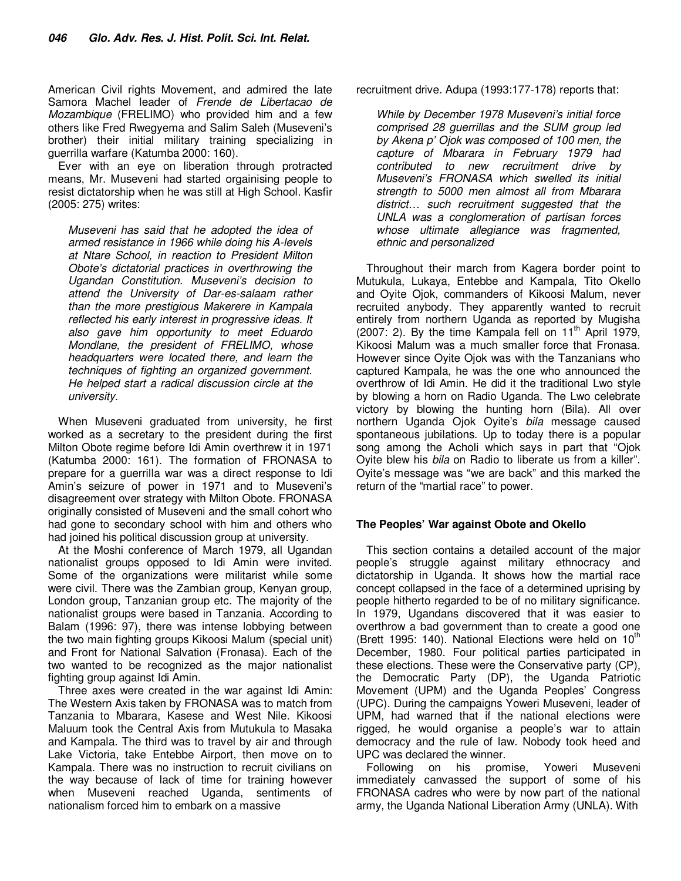American Civil rights Movement, and admired the late Samora Machel leader of *Frende de Libertacao de Mozambique* (FRELIMO) who provided him and a few others like Fred Rwegyema and Salim Saleh (Museveni's brother) their initial military training specializing in guerrilla warfare (Katumba 2000: 160).

Ever with an eye on liberation through protracted means, Mr. Museveni had started orgainising people to resist dictatorship when he was still at High School. Kasfir (2005: 275) writes:

*Museveni has said that he adopted the idea of armed resistance in 1966 while doing his A-levels at Ntare School, in reaction to President Milton Obote's dictatorial practices in overthrowing the Ugandan Constitution. Museveni's decision to attend the University of Dar-es-salaam rather than the more prestigious Makerere in Kampala reflected his early interest in progressive ideas. It also gave him opportunity to meet Eduardo Mondlane, the president of FRELIMO, whose headquarters were located there, and learn the techniques of fighting an organized government. He helped start a radical discussion circle at the university.* 

When Museveni graduated from university, he first worked as a secretary to the president during the first Milton Obote regime before Idi Amin overthrew it in 1971 (Katumba 2000: 161). The formation of FRONASA to prepare for a guerrilla war was a direct response to Idi Amin's seizure of power in 1971 and to Museveni's disagreement over strategy with Milton Obote. FRONASA originally consisted of Museveni and the small cohort who had gone to secondary school with him and others who had joined his political discussion group at university.

At the Moshi conference of March 1979, all Ugandan nationalist groups opposed to Idi Amin were invited. Some of the organizations were militarist while some were civil. There was the Zambian group, Kenyan group, London group, Tanzanian group etc. The majority of the nationalist groups were based in Tanzania. According to Balam (1996: 97), there was intense lobbying between the two main fighting groups Kikoosi Malum (special unit) and Front for National Salvation (Fronasa). Each of the two wanted to be recognized as the major nationalist fighting group against Idi Amin.

Three axes were created in the war against Idi Amin: The Western Axis taken by FRONASA was to match from Tanzania to Mbarara, Kasese and West Nile. Kikoosi Maluum took the Central Axis from Mutukula to Masaka and Kampala. The third was to travel by air and through Lake Victoria, take Entebbe Airport, then move on to Kampala. There was no instruction to recruit civilians on the way because of lack of time for training however when Museveni reached Uganda, sentiments of nationalism forced him to embark on a massive

recruitment drive. Adupa (1993:177-178) reports that:

*While by December 1978 Museveni's initial force comprised 28 guerrillas and the SUM group led by Akena p' Ojok was composed of 100 men, the capture of Mbarara in February 1979 had contributed to new recruitment drive by Museveni's FRONASA which swelled its initial strength to 5000 men almost all from Mbarara district… such recruitment suggested that the UNLA was a conglomeration of partisan forces whose ultimate allegiance was fragmented, ethnic and personalized* 

Throughout their march from Kagera border point to Mutukula, Lukaya, Entebbe and Kampala, Tito Okello and Oyite Ojok, commanders of Kikoosi Malum, never recruited anybody. They apparently wanted to recruit entirely from northern Uganda as reported by Mugisha  $(2007: 2)$ . By the time Kampala fell on  $11<sup>th</sup>$  April 1979, Kikoosi Malum was a much smaller force that Fronasa. However since Oyite Ojok was with the Tanzanians who captured Kampala, he was the one who announced the overthrow of Idi Amin. He did it the traditional Lwo style by blowing a horn on Radio Uganda. The Lwo celebrate victory by blowing the hunting horn (Bila). All over northern Uganda Ojok Oyite's *bila* message caused spontaneous jubilations. Up to today there is a popular song among the Acholi which says in part that "Ojok Oyite blew his *bila* on Radio to liberate us from a killer". Oyite's message was "we are back" and this marked the return of the "martial race" to power.

### **The Peoples' War against Obote and Okello**

This section contains a detailed account of the major people's struggle against military ethnocracy and dictatorship in Uganda. It shows how the martial race concept collapsed in the face of a determined uprising by people hitherto regarded to be of no military significance. In 1979, Ugandans discovered that it was easier to overthrow a bad government than to create a good one (Brett 1995: 140). National Elections were held on  $10^{th}$ December, 1980. Four political parties participated in these elections. These were the Conservative party (CP), the Democratic Party (DP), the Uganda Patriotic Movement (UPM) and the Uganda Peoples' Congress (UPC). During the campaigns Yoweri Museveni, leader of UPM, had warned that if the national elections were rigged, he would organise a people's war to attain democracy and the rule of law. Nobody took heed and UPC was declared the winner.

Following on his promise, Yoweri Museveni immediately canvassed the support of some of his FRONASA cadres who were by now part of the national army, the Uganda National Liberation Army (UNLA). With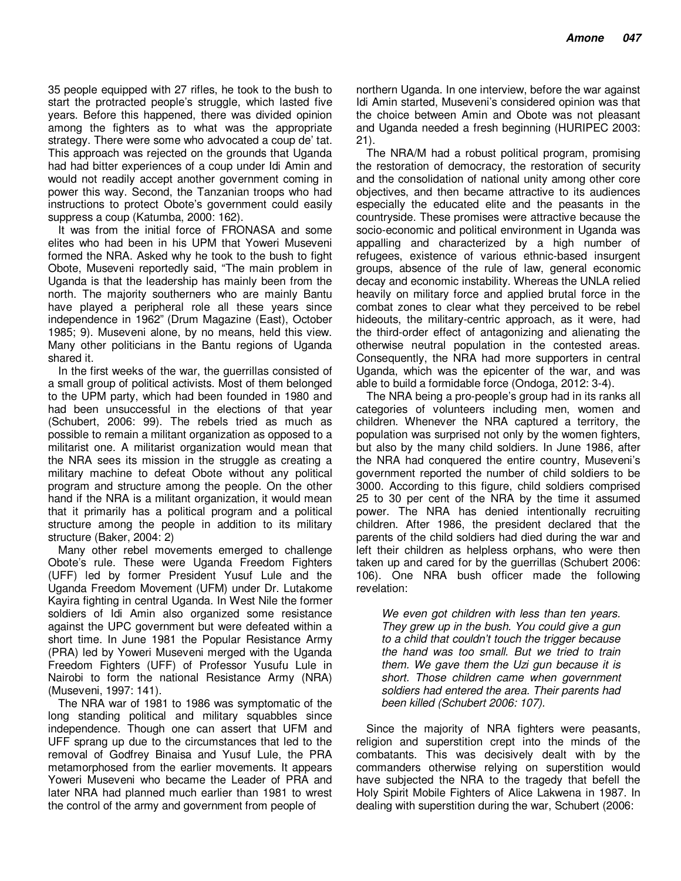35 people equipped with 27 rifles, he took to the bush to start the protracted people's struggle, which lasted five years. Before this happened, there was divided opinion among the fighters as to what was the appropriate strategy. There were some who advocated a coup de' tat. This approach was rejected on the grounds that Uganda had had bitter experiences of a coup under Idi Amin and would not readily accept another government coming in power this way. Second, the Tanzanian troops who had instructions to protect Obote's government could easily suppress a coup (Katumba, 2000: 162).

It was from the initial force of FRONASA and some elites who had been in his UPM that Yoweri Museveni formed the NRA. Asked why he took to the bush to fight Obote, Museveni reportedly said, "The main problem in Uganda is that the leadership has mainly been from the north. The majority southerners who are mainly Bantu have played a peripheral role all these years since independence in 1962" (Drum Magazine (East), October 1985; 9). Museveni alone, by no means, held this view. Many other politicians in the Bantu regions of Uganda shared it.

In the first weeks of the war, the guerrillas consisted of a small group of political activists. Most of them belonged to the UPM party, which had been founded in 1980 and had been unsuccessful in the elections of that year (Schubert, 2006: 99). The rebels tried as much as possible to remain a militant organization as opposed to a militarist one. A militarist organization would mean that the NRA sees its mission in the struggle as creating a military machine to defeat Obote without any political program and structure among the people. On the other hand if the NRA is a militant organization, it would mean that it primarily has a political program and a political structure among the people in addition to its military structure (Baker, 2004: 2)

Many other rebel movements emerged to challenge Obote's rule. These were Uganda Freedom Fighters (UFF) led by former President Yusuf Lule and the Uganda Freedom Movement (UFM) under Dr. Lutakome Kayira fighting in central Uganda. In West Nile the former soldiers of Idi Amin also organized some resistance against the UPC government but were defeated within a short time. In June 1981 the Popular Resistance Army (PRA) led by Yoweri Museveni merged with the Uganda Freedom Fighters (UFF) of Professor Yusufu Lule in Nairobi to form the national Resistance Army (NRA) (Museveni, 1997: 141).

The NRA war of 1981 to 1986 was symptomatic of the long standing political and military squabbles since independence. Though one can assert that UFM and UFF sprang up due to the circumstances that led to the removal of Godfrey Binaisa and Yusuf Lule, the PRA metamorphosed from the earlier movements. It appears Yoweri Museveni who became the Leader of PRA and later NRA had planned much earlier than 1981 to wrest the control of the army and government from people of

northern Uganda. In one interview, before the war against Idi Amin started, Museveni's considered opinion was that the choice between Amin and Obote was not pleasant and Uganda needed a fresh beginning (HURIPEC 2003: 21).

The NRA/M had a robust political program, promising the restoration of democracy, the restoration of security and the consolidation of national unity among other core objectives, and then became attractive to its audiences especially the educated elite and the peasants in the countryside. These promises were attractive because the socio-economic and political environment in Uganda was appalling and characterized by a high number of refugees, existence of various ethnic-based insurgent groups, absence of the rule of law, general economic decay and economic instability. Whereas the UNLA relied heavily on military force and applied brutal force in the combat zones to clear what they perceived to be rebel hideouts, the military-centric approach, as it were, had the third-order effect of antagonizing and alienating the otherwise neutral population in the contested areas. Consequently, the NRA had more supporters in central Uganda, which was the epicenter of the war, and was able to build a formidable force (Ondoga, 2012: 3-4).

The NRA being a pro-people's group had in its ranks all categories of volunteers including men, women and children. Whenever the NRA captured a territory, the population was surprised not only by the women fighters, but also by the many child soldiers. In June 1986, after the NRA had conquered the entire country, Museveni's government reported the number of child soldiers to be 3000. According to this figure, child soldiers comprised 25 to 30 per cent of the NRA by the time it assumed power. The NRA has denied intentionally recruiting children. After 1986, the president declared that the parents of the child soldiers had died during the war and left their children as helpless orphans, who were then taken up and cared for by the guerrillas (Schubert 2006: 106). One NRA bush officer made the following revelation:

*We even got children with less than ten years. They grew up in the bush. You could give a gun to a child that couldn't touch the trigger because the hand was too small. But we tried to train them. We gave them the Uzi gun because it is short. Those children came when government soldiers had entered the area. Their parents had been killed (Schubert 2006: 107).* 

Since the majority of NRA fighters were peasants, religion and superstition crept into the minds of the combatants. This was decisively dealt with by the commanders otherwise relying on superstition would have subjected the NRA to the tragedy that befell the Holy Spirit Mobile Fighters of Alice Lakwena in 1987. In dealing with superstition during the war, Schubert (2006: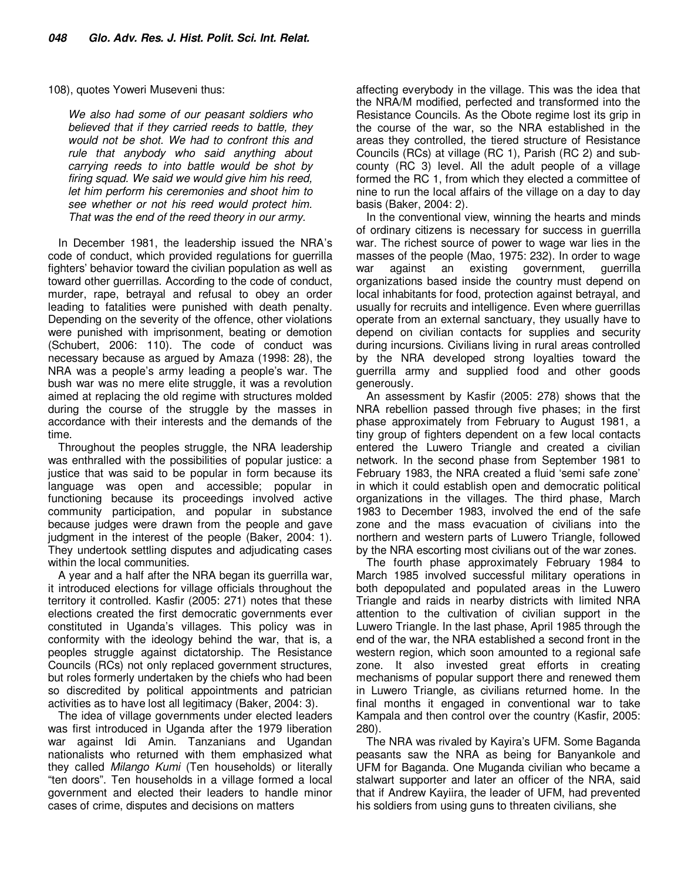108), quotes Yoweri Museveni thus:

*We also had some of our peasant soldiers who believed that if they carried reeds to battle, they would not be shot. We had to confront this and rule that anybody who said anything about carrying reeds to into battle would be shot by firing squad. We said we would give him his reed, let him perform his ceremonies and shoot him to see whether or not his reed would protect him. That was the end of the reed theory in our army.* 

In December 1981, the leadership issued the NRA's code of conduct, which provided regulations for guerrilla fighters' behavior toward the civilian population as well as toward other guerrillas. According to the code of conduct, murder, rape, betrayal and refusal to obey an order leading to fatalities were punished with death penalty. Depending on the severity of the offence, other violations were punished with imprisonment, beating or demotion (Schubert, 2006: 110). The code of conduct was necessary because as argued by Amaza (1998: 28), the NRA was a people's army leading a people's war. The bush war was no mere elite struggle, it was a revolution aimed at replacing the old regime with structures molded during the course of the struggle by the masses in accordance with their interests and the demands of the time.

Throughout the peoples struggle, the NRA leadership was enthralled with the possibilities of popular justice: a justice that was said to be popular in form because its language was open and accessible; popular in functioning because its proceedings involved active community participation, and popular in substance because judges were drawn from the people and gave judgment in the interest of the people (Baker, 2004: 1). They undertook settling disputes and adjudicating cases within the local communities.

A year and a half after the NRA began its guerrilla war, it introduced elections for village officials throughout the territory it controlled. Kasfir (2005: 271) notes that these elections created the first democratic governments ever constituted in Uganda's villages. This policy was in conformity with the ideology behind the war, that is, a peoples struggle against dictatorship. The Resistance Councils (RCs) not only replaced government structures, but roles formerly undertaken by the chiefs who had been so discredited by political appointments and patrician activities as to have lost all legitimacy (Baker, 2004: 3).

The idea of village governments under elected leaders was first introduced in Uganda after the 1979 liberation war against Idi Amin. Tanzanians and Ugandan nationalists who returned with them emphasized what they called *Milango Kumi* (Ten households) or literally "ten doors". Ten households in a village formed a local government and elected their leaders to handle minor cases of crime, disputes and decisions on matters

affecting everybody in the village. This was the idea that the NRA/M modified, perfected and transformed into the Resistance Councils. As the Obote regime lost its grip in the course of the war, so the NRA established in the areas they controlled, the tiered structure of Resistance Councils (RCs) at village (RC 1), Parish (RC 2) and subcounty (RC 3) level. All the adult people of a village formed the RC 1, from which they elected a committee of nine to run the local affairs of the village on a day to day basis (Baker, 2004: 2).

In the conventional view, winning the hearts and minds of ordinary citizens is necessary for success in guerrilla war. The richest source of power to wage war lies in the masses of the people (Mao, 1975: 232). In order to wage war against an existing government, guerrilla organizations based inside the country must depend on local inhabitants for food, protection against betrayal, and usually for recruits and intelligence. Even where guerrillas operate from an external sanctuary, they usually have to depend on civilian contacts for supplies and security during incursions. Civilians living in rural areas controlled by the NRA developed strong loyalties toward the guerrilla army and supplied food and other goods generously.

An assessment by Kasfir (2005: 278) shows that the NRA rebellion passed through five phases; in the first phase approximately from February to August 1981, a tiny group of fighters dependent on a few local contacts entered the Luwero Triangle and created a civilian network. In the second phase from September 1981 to February 1983, the NRA created a fluid 'semi safe zone' in which it could establish open and democratic political organizations in the villages. The third phase, March 1983 to December 1983, involved the end of the safe zone and the mass evacuation of civilians into the northern and western parts of Luwero Triangle, followed by the NRA escorting most civilians out of the war zones.

The fourth phase approximately February 1984 to March 1985 involved successful military operations in both depopulated and populated areas in the Luwero Triangle and raids in nearby districts with limited NRA attention to the cultivation of civilian support in the Luwero Triangle. In the last phase, April 1985 through the end of the war, the NRA established a second front in the western region, which soon amounted to a regional safe zone. It also invested great efforts in creating mechanisms of popular support there and renewed them in Luwero Triangle, as civilians returned home. In the final months it engaged in conventional war to take Kampala and then control over the country (Kasfir, 2005: 280).

The NRA was rivaled by Kayira's UFM. Some Baganda peasants saw the NRA as being for Banyankole and UFM for Baganda. One Muganda civilian who became a stalwart supporter and later an officer of the NRA, said that if Andrew Kayiira, the leader of UFM, had prevented his soldiers from using guns to threaten civilians, she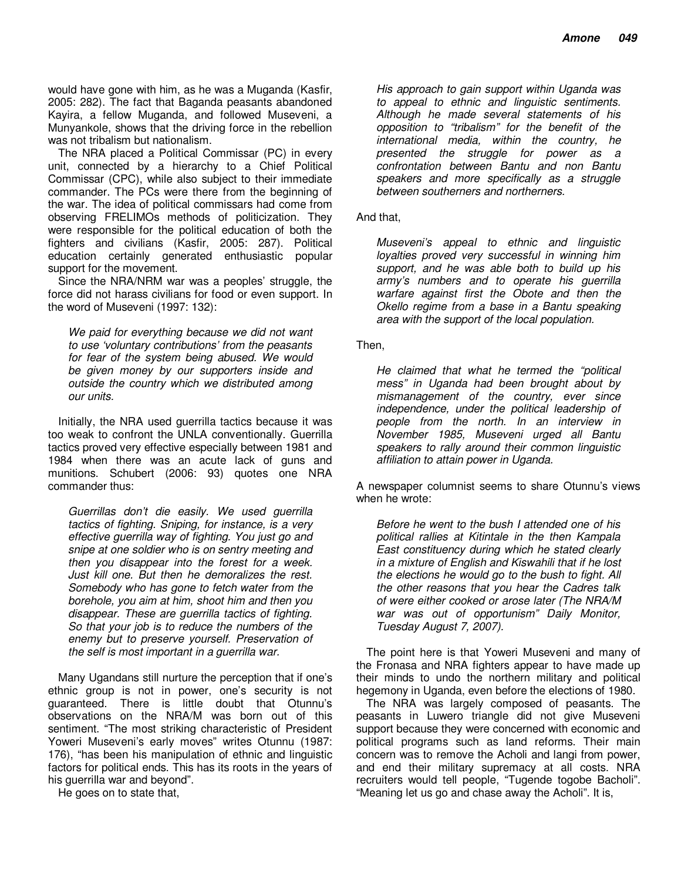would have gone with him, as he was a Muganda (Kasfir, 2005: 282). The fact that Baganda peasants abandoned Kayira, a fellow Muganda, and followed Museveni, a Munyankole, shows that the driving force in the rebellion was not tribalism but nationalism.

The NRA placed a Political Commissar (PC) in every unit, connected by a hierarchy to a Chief Political Commissar (CPC), while also subject to their immediate commander. The PCs were there from the beginning of the war. The idea of political commissars had come from observing FRELIMOs methods of politicization. They were responsible for the political education of both the fighters and civilians (Kasfir, 2005: 287). Political education certainly generated enthusiastic popular support for the movement.

Since the NRA/NRM war was a peoples' struggle, the force did not harass civilians for food or even support. In the word of Museveni (1997: 132):

*We paid for everything because we did not want to use 'voluntary contributions' from the peasants for fear of the system being abused. We would be given money by our supporters inside and outside the country which we distributed among our units.* 

Initially, the NRA used guerrilla tactics because it was too weak to confront the UNLA conventionally. Guerrilla tactics proved very effective especially between 1981 and 1984 when there was an acute lack of guns and munitions. Schubert (2006: 93) quotes one NRA commander thus:

*Guerrillas don't die easily. We used guerrilla tactics of fighting. Sniping, for instance, is a very effective guerrilla way of fighting. You just go and snipe at one soldier who is on sentry meeting and then you disappear into the forest for a week. Just kill one. But then he demoralizes the rest. Somebody who has gone to fetch water from the borehole, you aim at him, shoot him and then you disappear. These are guerrilla tactics of fighting. So that your job is to reduce the numbers of the enemy but to preserve yourself. Preservation of the self is most important in a guerrilla war.* 

Many Ugandans still nurture the perception that if one's ethnic group is not in power, one's security is not guaranteed. There is little doubt that Otunnu's observations on the NRA/M was born out of this sentiment. "The most striking characteristic of President Yoweri Museveni's early moves" writes Otunnu (1987: 176), "has been his manipulation of ethnic and linguistic factors for political ends. This has its roots in the years of his guerrilla war and beyond".

He goes on to state that,

*His approach to gain support within Uganda was to appeal to ethnic and linguistic sentiments. Although he made several statements of his opposition to "tribalism" for the benefit of the international media, within the country, he presented the struggle for power as a confrontation between Bantu and non Bantu speakers and more specifically as a struggle between southerners and northerners.* 

And that,

*Museveni's appeal to ethnic and linguistic loyalties proved very successful in winning him support, and he was able both to build up his army's numbers and to operate his guerrilla warfare against first the Obote and then the Okello regime from a base in a Bantu speaking area with the support of the local population.* 

Then,

*He claimed that what he termed the "political mess" in Uganda had been brought about by mismanagement of the country, ever since independence, under the political leadership of people from the north. In an interview in November 1985, Museveni urged all Bantu speakers to rally around their common linguistic affiliation to attain power in Uganda.* 

A newspaper columnist seems to share Otunnu's views when he wrote:

*Before he went to the bush I attended one of his political rallies at Kitintale in the then Kampala East constituency during which he stated clearly in a mixture of English and Kiswahili that if he lost the elections he would go to the bush to fight. All the other reasons that you hear the Cadres talk of were either cooked or arose later (The NRA/M war was out of opportunism" Daily Monitor, Tuesday August 7, 2007).* 

The point here is that Yoweri Museveni and many of the Fronasa and NRA fighters appear to have made up their minds to undo the northern military and political hegemony in Uganda, even before the elections of 1980.

The NRA was largely composed of peasants. The peasants in Luwero triangle did not give Museveni support because they were concerned with economic and political programs such as land reforms. Their main concern was to remove the Acholi and langi from power, and end their military supremacy at all costs. NRA recruiters would tell people, "Tugende togobe Bacholi". "Meaning let us go and chase away the Acholi". It is,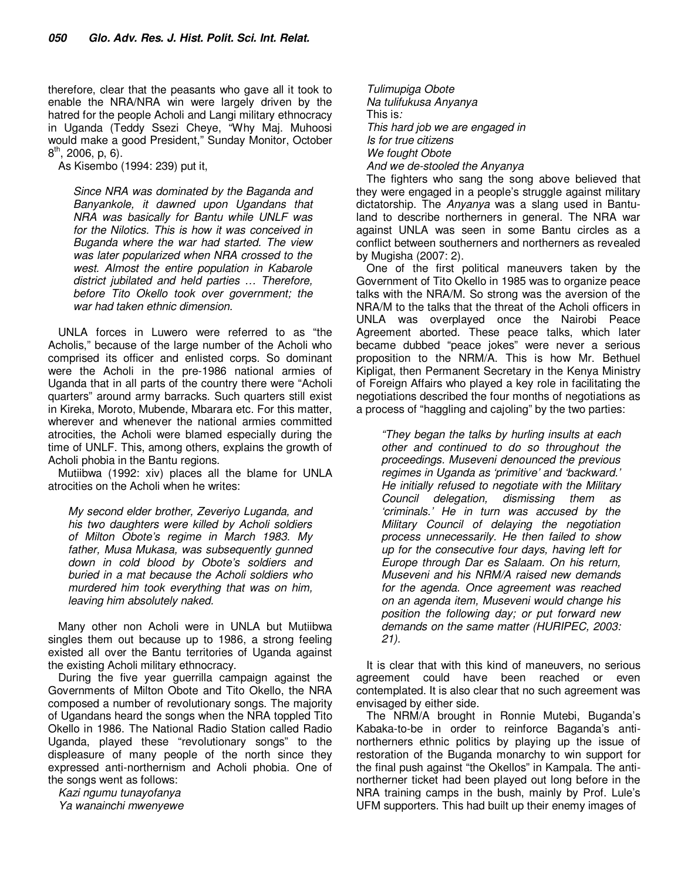therefore, clear that the peasants who gave all it took to enable the NRA/NRA win were largely driven by the hatred for the people Acholi and Langi military ethnocracy in Uganda (Teddy Ssezi Cheye, "Why Maj. Muhoosi would make a good President," Sunday Monitor, October  $8^{th}$ , 2006, p, 6).

As Kisembo (1994: 239) put it,

*Since NRA was dominated by the Baganda and Banyankole, it dawned upon Ugandans that NRA was basically for Bantu while UNLF was for the Nilotics. This is how it was conceived in Buganda where the war had started. The view was later popularized when NRA crossed to the west. Almost the entire population in Kabarole district jubilated and held parties … Therefore, before Tito Okello took over government; the war had taken ethnic dimension.* 

UNLA forces in Luwero were referred to as "the Acholis," because of the large number of the Acholi who comprised its officer and enlisted corps. So dominant were the Acholi in the pre-1986 national armies of Uganda that in all parts of the country there were "Acholi quarters" around army barracks. Such quarters still exist in Kireka, Moroto, Mubende, Mbarara etc. For this matter, wherever and whenever the national armies committed atrocities, the Acholi were blamed especially during the time of UNLF. This, among others, explains the growth of Acholi phobia in the Bantu regions.

Mutiibwa (1992: xiv) places all the blame for UNLA atrocities on the Acholi when he writes:

*My second elder brother, Zeveriyo Luganda, and his two daughters were killed by Acholi soldiers of Milton Obote's regime in March 1983. My father, Musa Mukasa, was subsequently gunned down in cold blood by Obote's soldiers and buried in a mat because the Acholi soldiers who murdered him took everything that was on him, leaving him absolutely naked.* 

Many other non Acholi were in UNLA but Mutiibwa singles them out because up to 1986, a strong feeling existed all over the Bantu territories of Uganda against the existing Acholi military ethnocracy.

During the five year guerrilla campaign against the Governments of Milton Obote and Tito Okello, the NRA composed a number of revolutionary songs. The majority of Ugandans heard the songs when the NRA toppled Tito Okello in 1986. The National Radio Station called Radio Uganda, played these "revolutionary songs" to the displeasure of many people of the north since they expressed anti-northernism and Acholi phobia. One of the songs went as follows:

*Kazi ngumu tunayofanya Ya wanainchi mwenyewe* 

*Tulimupiga Obote Na tulifukusa Anyanya*  This is*: This hard job we are engaged in Is for true citizens We fought Obote And we de-stooled the Anyanya* 

The fighters who sang the song above believed that they were engaged in a people's struggle against military dictatorship. The *Anyanya* was a slang used in Bantuland to describe northerners in general. The NRA war against UNLA was seen in some Bantu circles as a conflict between southerners and northerners as revealed by Mugisha (2007: 2).

One of the first political maneuvers taken by the Government of Tito Okello in 1985 was to organize peace talks with the NRA/M. So strong was the aversion of the NRA/M to the talks that the threat of the Acholi officers in UNLA was overplayed once the Nairobi Peace Agreement aborted. These peace talks, which later became dubbed "peace jokes" were never a serious proposition to the NRM/A. This is how Mr. Bethuel Kipligat, then Permanent Secretary in the Kenya Ministry of Foreign Affairs who played a key role in facilitating the negotiations described the four months of negotiations as a process of "haggling and cajoling" by the two parties:

*"They began the talks by hurling insults at each other and continued to do so throughout the proceedings. Museveni denounced the previous regimes in Uganda as 'primitive' and 'backward.' He initially refused to negotiate with the Military Council delegation, dismissing them as 'criminals.' He in turn was accused by the Military Council of delaying the negotiation process unnecessarily. He then failed to show up for the consecutive four days, having left for Europe through Dar es Salaam. On his return, Museveni and his NRM/A raised new demands for the agenda. Once agreement was reached on an agenda item, Museveni would change his position the following day; or put forward new demands on the same matter (HURIPEC, 2003: 21).* 

It is clear that with this kind of maneuvers, no serious agreement could have been reached or even contemplated. It is also clear that no such agreement was envisaged by either side.

The NRM/A brought in Ronnie Mutebi, Buganda's Kabaka-to-be in order to reinforce Baganda's antinortherners ethnic politics by playing up the issue of restoration of the Buganda monarchy to win support for the final push against "the Okellos" in Kampala. The antinortherner ticket had been played out long before in the NRA training camps in the bush, mainly by Prof. Lule's UFM supporters. This had built up their enemy images of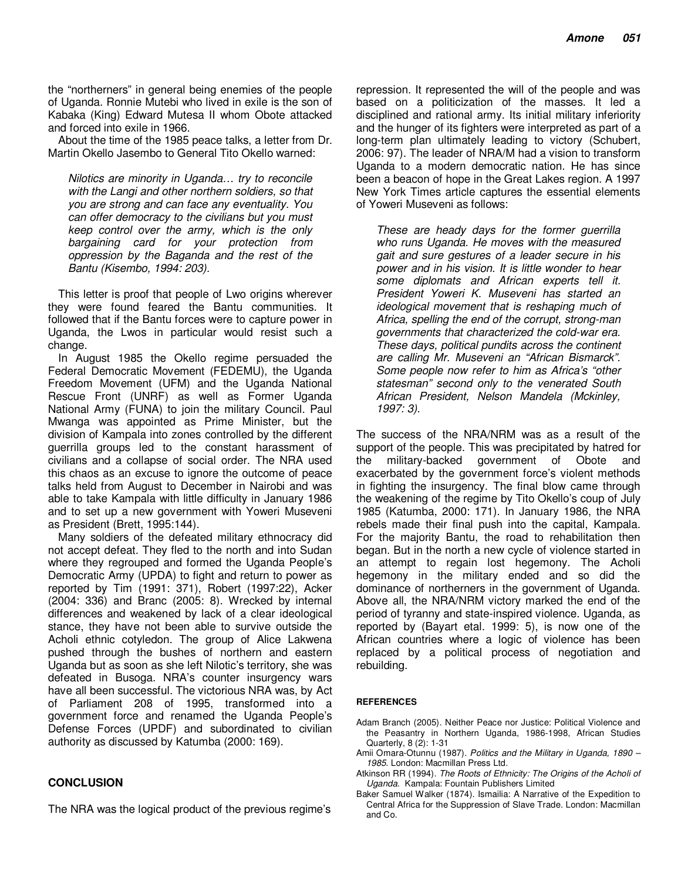the "northerners" in general being enemies of the people of Uganda. Ronnie Mutebi who lived in exile is the son of Kabaka (King) Edward Mutesa II whom Obote attacked and forced into exile in 1966.

About the time of the 1985 peace talks, a letter from Dr. Martin Okello Jasembo to General Tito Okello warned:

*Nilotics are minority in Uganda… try to reconcile with the Langi and other northern soldiers, so that you are strong and can face any eventuality. You can offer democracy to the civilians but you must keep control over the army, which is the only bargaining card for your protection from oppression by the Baganda and the rest of the Bantu (Kisembo, 1994: 203).* 

This letter is proof that people of Lwo origins wherever they were found feared the Bantu communities. It followed that if the Bantu forces were to capture power in Uganda, the Lwos in particular would resist such a change.

In August 1985 the Okello regime persuaded the Federal Democratic Movement (FEDEMU), the Uganda Freedom Movement (UFM) and the Uganda National Rescue Front (UNRF) as well as Former Uganda National Army (FUNA) to join the military Council. Paul Mwanga was appointed as Prime Minister, but the division of Kampala into zones controlled by the different guerrilla groups led to the constant harassment of civilians and a collapse of social order. The NRA used this chaos as an excuse to ignore the outcome of peace talks held from August to December in Nairobi and was able to take Kampala with little difficulty in January 1986 and to set up a new government with Yoweri Museveni as President (Brett, 1995:144).

Many soldiers of the defeated military ethnocracy did not accept defeat. They fled to the north and into Sudan where they regrouped and formed the Uganda People's Democratic Army (UPDA) to fight and return to power as reported by Tim (1991: 371), Robert (1997:22), Acker (2004: 336) and Branc (2005: 8). Wrecked by internal differences and weakened by lack of a clear ideological stance, they have not been able to survive outside the Acholi ethnic cotyledon. The group of Alice Lakwena pushed through the bushes of northern and eastern Uganda but as soon as she left Nilotic's territory, she was defeated in Busoga. NRA's counter insurgency wars have all been successful. The victorious NRA was, by Act of Parliament 208 of 1995, transformed into a government force and renamed the Uganda People's Defense Forces (UPDF) and subordinated to civilian authority as discussed by Katumba (2000: 169).

#### **CONCLUSION**

The NRA was the logical product of the previous regime's

repression. It represented the will of the people and was based on a politicization of the masses. It led a disciplined and rational army. Its initial military inferiority and the hunger of its fighters were interpreted as part of a long-term plan ultimately leading to victory (Schubert, 2006: 97). The leader of NRA/M had a vision to transform Uganda to a modern democratic nation. He has since been a beacon of hope in the Great Lakes region. A 1997 New York Times article captures the essential elements of Yoweri Museveni as follows:

*These are heady days for the former guerrilla who runs Uganda. He moves with the measured gait and sure gestures of a leader secure in his power and in his vision. It is little wonder to hear some diplomats and African experts tell it. President Yoweri K. Museveni has started an ideological movement that is reshaping much of Africa, spelling the end of the corrupt, strong-man governments that characterized the cold-war era. These days, political pundits across the continent are calling Mr. Museveni an "African Bismarck". Some people now refer to him as Africa's "other statesman" second only to the venerated South African President, Nelson Mandela (Mckinley, 1997: 3).* 

The success of the NRA/NRM was as a result of the support of the people. This was precipitated by hatred for the military-backed government of Obote and exacerbated by the government force's violent methods in fighting the insurgency. The final blow came through the weakening of the regime by Tito Okello's coup of July 1985 (Katumba, 2000: 171). In January 1986, the NRA rebels made their final push into the capital, Kampala. For the majority Bantu, the road to rehabilitation then began. But in the north a new cycle of violence started in an attempt to regain lost hegemony. The Acholi hegemony in the military ended and so did the dominance of northerners in the government of Uganda. Above all, the NRA/NRM victory marked the end of the period of tyranny and state-inspired violence. Uganda, as reported by (Bayart etal. 1999: 5), is now one of the African countries where a logic of violence has been replaced by a political process of negotiation and rebuilding.

#### **REFERENCES**

- Adam Branch (2005). Neither Peace nor Justice: Political Violence and the Peasantry in Northern Uganda, 1986-1998, African Studies Quarterly, 8 (2): 1-31
- Amii Omara-Otunnu (1987). *Politics and the Military in Uganda, 1890 1985*. London: Macmillan Press Ltd.
- Atkinson RR (1994). *The Roots of Ethnicity: The Origins of the Acholi of Uganda*. Kampala: Fountain Publishers Limited
- Baker Samuel Walker (1874). Ismailia: A Narrative of the Expedition to Central Africa for the Suppression of Slave Trade. London: Macmillan and Co.